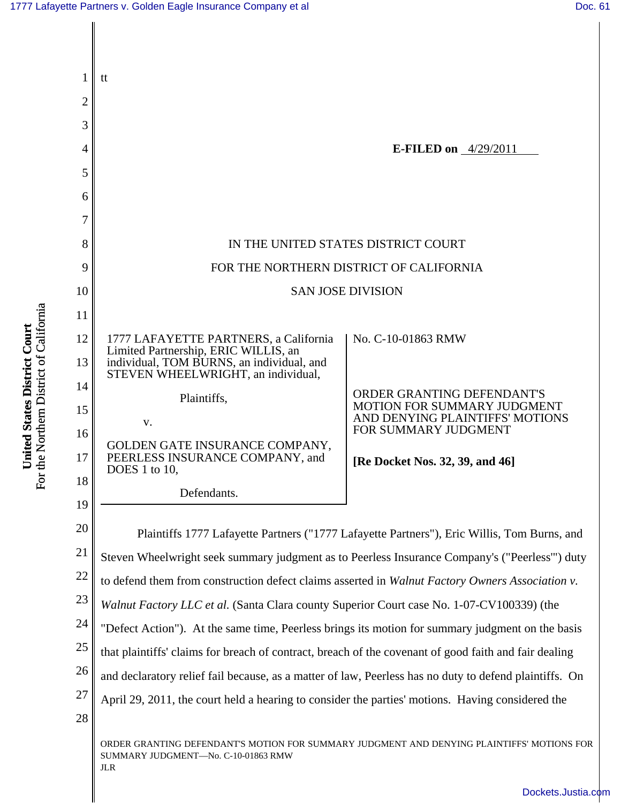

[Dockets.Justia.com](http://dockets.justia.com/)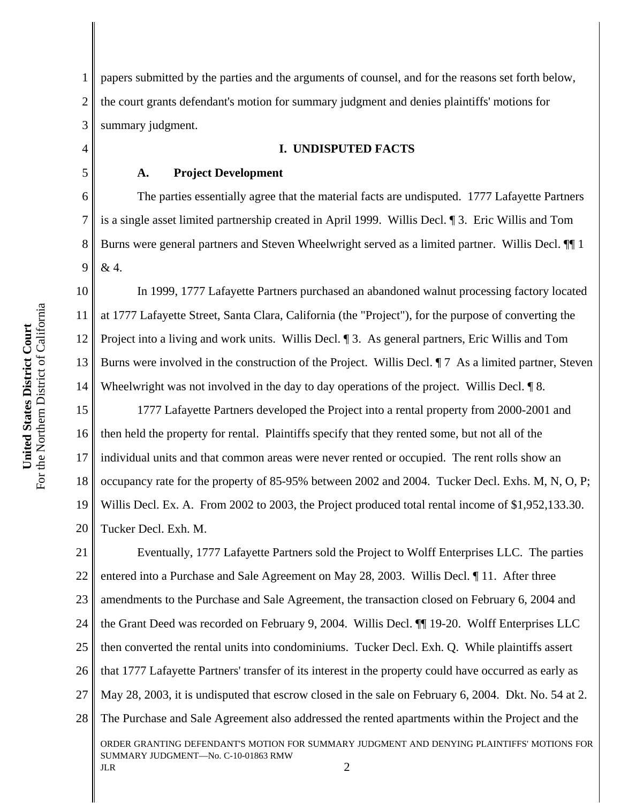1 2 3 papers submitted by the parties and the arguments of counsel, and for the reasons set forth below, the court grants defendant's motion for summary judgment and denies plaintiffs' motions for summary judgment.

#### **I. UNDISPUTED FACTS**

#### **A. Project Development**

The parties essentially agree that the material facts are undisputed. 1777 Lafayette Partners is a single asset limited partnership created in April 1999. Willis Decl. ¶ 3. Eric Willis and Tom Burns were general partners and Steven Wheelwright served as a limited partner. Willis Decl. ¶¶ 1 & 4.

10 11 12 13 14 In 1999, 1777 Lafayette Partners purchased an abandoned walnut processing factory located at 1777 Lafayette Street, Santa Clara, California (the "Project"), for the purpose of converting the Project into a living and work units. Willis Decl. ¶ 3. As general partners, Eric Willis and Tom Burns were involved in the construction of the Project. Willis Decl.  $\P$  7 As a limited partner, Steven Wheelwright was not involved in the day to day operations of the project. Willis Decl.  $\sqrt{\phantom{a}}\,8$ .

15 16 17 18 19 20 1777 Lafayette Partners developed the Project into a rental property from 2000-2001 and then held the property for rental. Plaintiffs specify that they rented some, but not all of the individual units and that common areas were never rented or occupied. The rent rolls show an occupancy rate for the property of 85-95% between 2002 and 2004. Tucker Decl. Exhs. M, N, O, P; Willis Decl. Ex. A. From 2002 to 2003, the Project produced total rental income of \$1,952,133.30. Tucker Decl. Exh. M.

21 22 23 24 25 26 27 28 ORDER GRANTING DEFENDANT'S MOTION FOR SUMMARY JUDGMENT AND DENYING PLAINTIFFS' MOTIONS FOR SUMMARY JUDGMENT—No. C-10-01863 RMW JLR  $2$ Eventually, 1777 Lafayette Partners sold the Project to Wolff Enterprises LLC. The parties entered into a Purchase and Sale Agreement on May 28, 2003. Willis Decl. ¶ 11. After three amendments to the Purchase and Sale Agreement, the transaction closed on February 6, 2004 and the Grant Deed was recorded on February 9, 2004. Willis Decl. ¶¶ 19-20. Wolff Enterprises LLC then converted the rental units into condominiums. Tucker Decl. Exh. Q. While plaintiffs assert that 1777 Lafayette Partners' transfer of its interest in the property could have occurred as early as May 28, 2003, it is undisputed that escrow closed in the sale on February 6, 2004. Dkt. No. 54 at 2. The Purchase and Sale Agreement also addressed the rented apartments within the Project and the

4

5

6

7

8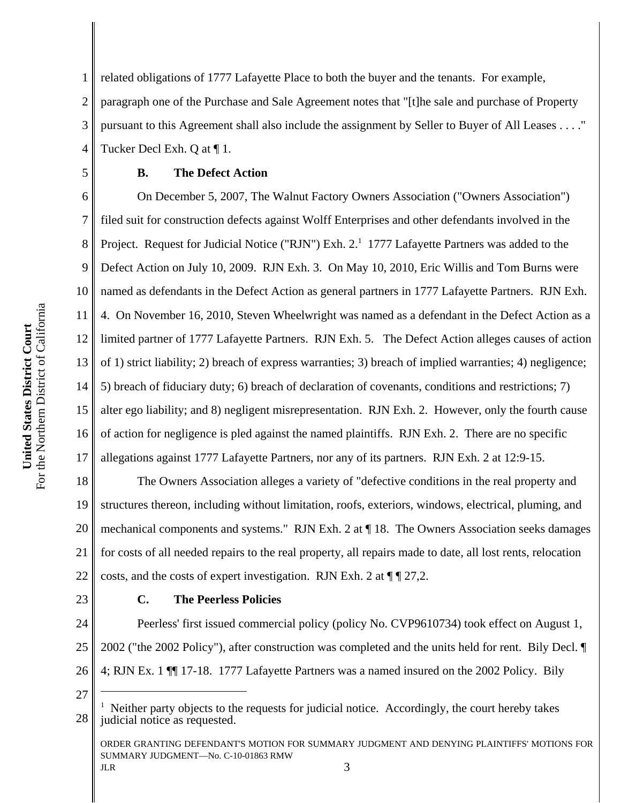1 2 3 4 related obligations of 1777 Lafayette Place to both the buyer and the tenants. For example, paragraph one of the Purchase and Sale Agreement notes that "[t]he sale and purchase of Property pursuant to this Agreement shall also include the assignment by Seller to Buyer of All Leases . . . ." Tucker Decl Exh. Q at ¶ 1.

#### **B. The Defect Action**

6 7 8 9 10 11 12 13 14 15 16 17 On December 5, 2007, The Walnut Factory Owners Association ("Owners Association") filed suit for construction defects against Wolff Enterprises and other defendants involved in the Project. Request for Judicial Notice ("RJN") Exh. 2.<sup>1</sup> 1777 Lafayette Partners was added to the Defect Action on July 10, 2009. RJN Exh. 3. On May 10, 2010, Eric Willis and Tom Burns were named as defendants in the Defect Action as general partners in 1777 Lafayette Partners. RJN Exh. 4. On November 16, 2010, Steven Wheelwright was named as a defendant in the Defect Action as a limited partner of 1777 Lafayette Partners. RJN Exh. 5. The Defect Action alleges causes of action of 1) strict liability; 2) breach of express warranties; 3) breach of implied warranties; 4) negligence; 5) breach of fiduciary duty; 6) breach of declaration of covenants, conditions and restrictions; 7) alter ego liability; and 8) negligent misrepresentation. RJN Exh. 2. However, only the fourth cause of action for negligence is pled against the named plaintiffs. RJN Exh. 2. There are no specific allegations against 1777 Lafayette Partners, nor any of its partners. RJN Exh. 2 at 12:9-15.

18 19 20 21 22 The Owners Association alleges a variety of "defective conditions in the real property and structures thereon, including without limitation, roofs, exteriors, windows, electrical, pluming, and mechanical components and systems." RJN Exh. 2 at ¶ 18. The Owners Association seeks damages for costs of all needed repairs to the real property, all repairs made to date, all lost rents, relocation costs, and the costs of expert investigation. RJN Exh. 2 at  $\P$   $\P$  27,2.

23

5

## **C. The Peerless Policies**

24 25 26 Peerless' first issued commercial policy (policy No. CVP9610734) took effect on August 1, 2002 ("the 2002 Policy"), after construction was completed and the units held for rent. Bily Decl. ¶ 4; RJN Ex. 1 ¶¶ 17-18. 1777 Lafayette Partners was a named insured on the 2002 Policy. Bily

27

ORDER GRANTING DEFENDANT'S MOTION FOR SUMMARY JUDGMENT AND DENYING PLAINTIFFS' MOTIONS FOR SUMMARY JUDGMENT—No. C-10-01863 RMW  $JLR$  3

<sup>28</sup> 1 Neither party objects to the requests for judicial notice. Accordingly, the court hereby takes judicial notice as requested.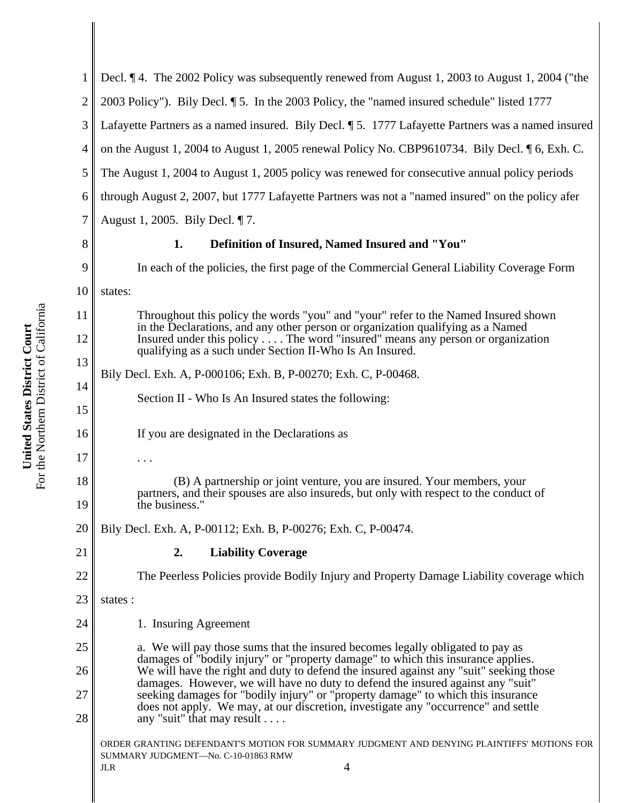| $\mathbf{1}$   | Decl. 14. The 2002 Policy was subsequently renewed from August 1, 2003 to August 1, 2004 ("the                                                                                                                                                                                          |
|----------------|-----------------------------------------------------------------------------------------------------------------------------------------------------------------------------------------------------------------------------------------------------------------------------------------|
| $\overline{2}$ | 2003 Policy"). Bily Decl. 15. In the 2003 Policy, the "named insured schedule" listed 1777                                                                                                                                                                                              |
| $\mathfrak{Z}$ | Lafayette Partners as a named insured. Bily Decl. ¶ 5. 1777 Lafayette Partners was a named insured                                                                                                                                                                                      |
| $\overline{4}$ | on the August 1, 2004 to August 1, 2005 renewal Policy No. CBP9610734. Bily Decl. 16, Exh. C.                                                                                                                                                                                           |
| 5              | The August 1, 2004 to August 1, 2005 policy was renewed for consecutive annual policy periods                                                                                                                                                                                           |
| 6              | through August 2, 2007, but 1777 Lafayette Partners was not a "named insured" on the policy afer                                                                                                                                                                                        |
| 7              | August 1, 2005. Bily Decl. ¶ 7.                                                                                                                                                                                                                                                         |
| 8              | Definition of Insured, Named Insured and "You"<br>1.                                                                                                                                                                                                                                    |
| 9              | In each of the policies, the first page of the Commercial General Liability Coverage Form                                                                                                                                                                                               |
| 10             | states:                                                                                                                                                                                                                                                                                 |
| 11             | Throughout this policy the words "you" and "your" refer to the Named Insured shown<br>in the Declarations, and any other person or organization qualifying as a Named                                                                                                                   |
| 12             | Insured under this policy The word "insured" means any person or organization<br>qualifying as a such under Section II-Who Is An Insured.                                                                                                                                               |
| 13             | Bily Decl. Exh. A, P-000106; Exh. B, P-00270; Exh. C, P-00468.                                                                                                                                                                                                                          |
| 14<br>15       | Section II - Who Is An Insured states the following:                                                                                                                                                                                                                                    |
| 16             | If you are designated in the Declarations as                                                                                                                                                                                                                                            |
| 17             |                                                                                                                                                                                                                                                                                         |
| 18<br>19       | (B) A partnership or joint venture, you are insured. Your members, your<br>partners, and their spouses are also insureds, but only with respect to the conduct of<br>the business."                                                                                                     |
| 20             | Bily Decl. Exh. A, P-00112; Exh. B, P-00276; Exh. C, P-00474.                                                                                                                                                                                                                           |
| 21             | <b>Liability Coverage</b><br>2.                                                                                                                                                                                                                                                         |
| 22             | The Peerless Policies provide Bodily Injury and Property Damage Liability coverage which                                                                                                                                                                                                |
| 23             | states:                                                                                                                                                                                                                                                                                 |
| 24             | 1. Insuring Agreement                                                                                                                                                                                                                                                                   |
| 25             | a. We will pay those sums that the insured becomes legally obligated to pay as                                                                                                                                                                                                          |
| 26             | damages of "bodily injury" or "property damage" to which this insurance applies.<br>We will have the right and duty to defend the insured against any "suit" seeking those                                                                                                              |
| 27<br>28       | damages. However, we will have no duty to defend the insured against any "suit"<br>seeking damages for "bodily injury" or "property damage" to which this insurance<br>does not apply. We may, at our discretion, investigate any "occurrence" and settle<br>any "suit" that may result |
|                | ORDER GRANTING DEFENDANT'S MOTION FOR SUMMARY JUDGMENT AND DENYING PLAINTIFFS' MOTIONS FOR<br>SUMMARY JUDGMENT-No. C-10-01863 RMW<br>4<br>JLR                                                                                                                                           |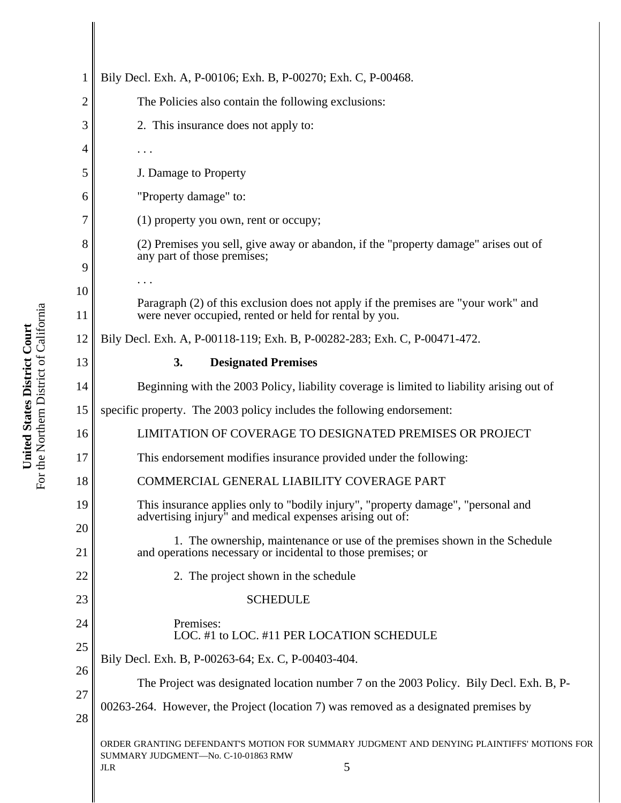| 1        | Bily Decl. Exh. A, P-00106; Exh. B, P-00270; Exh. C, P-00468.                                                                                        |
|----------|------------------------------------------------------------------------------------------------------------------------------------------------------|
| 2        | The Policies also contain the following exclusions:                                                                                                  |
| 3        | 2. This insurance does not apply to:                                                                                                                 |
| 4        | .                                                                                                                                                    |
| 5        | J. Damage to Property                                                                                                                                |
| 6        | "Property damage" to:                                                                                                                                |
| 7        | $(1)$ property you own, rent or occupy;                                                                                                              |
| 8<br>9   | (2) Premises you sell, give away or abandon, if the "property damage" arises out of<br>any part of those premises;                                   |
| 10       |                                                                                                                                                      |
| 11       | Paragraph (2) of this exclusion does not apply if the premises are "your work" and<br>were never occupied, rented or held for rental by you.         |
| 12       | Bily Decl. Exh. A, P-00118-119; Exh. B, P-00282-283; Exh. C, P-00471-472.                                                                            |
| 13       | 3.<br><b>Designated Premises</b>                                                                                                                     |
| 14       | Beginning with the 2003 Policy, liability coverage is limited to liability arising out of                                                            |
| 15       | specific property. The 2003 policy includes the following endorsement:                                                                               |
| 16       | LIMITATION OF COVERAGE TO DESIGNATED PREMISES OR PROJECT                                                                                             |
| 17       | This endorsement modifies insurance provided under the following:                                                                                    |
| 18       | COMMERCIAL GENERAL LIABILITY COVERAGE PART                                                                                                           |
| 19       | This insurance applies only to "bodily injury", "property damage", "personal and<br>advertising injury" and medical expenses arising out of:         |
| 20<br>21 | 1. The ownership, maintenance or use of the premises shown in the Schedule<br>and operations necessary or incidental to those premises; or           |
| 22       | 2. The project shown in the schedule                                                                                                                 |
| 23       | <b>SCHEDULE</b>                                                                                                                                      |
| 24       | Premises:<br>LOC. #1 to LOC. #11 PER LOCATION SCHEDULE                                                                                               |
| 25<br>26 | Bily Decl. Exh. B, P-00263-64; Ex. C, P-00403-404.                                                                                                   |
| 27       | The Project was designated location number 7 on the 2003 Policy. Bily Decl. Exh. B, P-                                                               |
| 28       | 00263-264. However, the Project (location 7) was removed as a designated premises by                                                                 |
|          | ORDER GRANTING DEFENDANT'S MOTION FOR SUMMARY JUDGMENT AND DENYING PLAINTIFFS' MOTIONS FOR<br>SUMMARY JUDGMENT-No. C-10-01863 RMW<br>5<br><b>JLR</b> |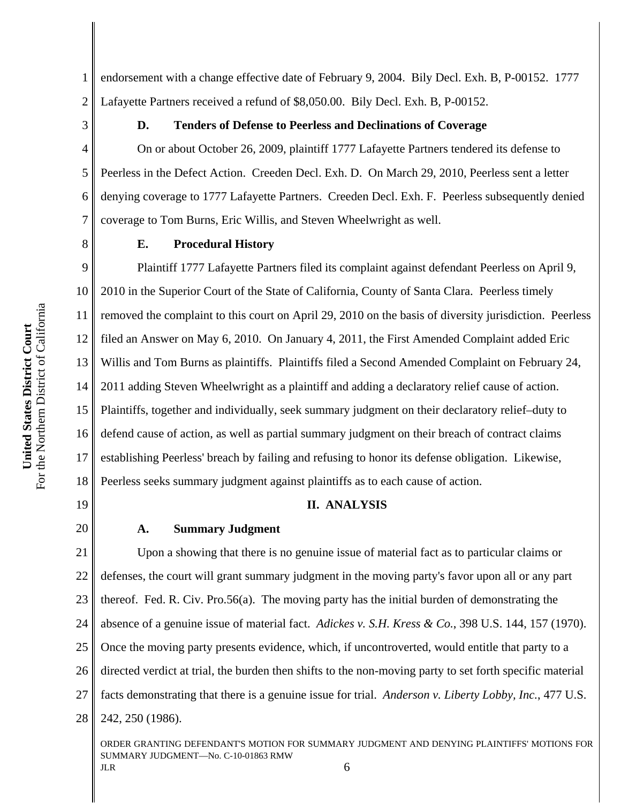1 2 endorsement with a change effective date of February 9, 2004. Bily Decl. Exh. B, P-00152. 1777 Lafayette Partners received a refund of \$8,050.00. Bily Decl. Exh. B, P-00152.

3

4

5

6

7

8

### **D. Tenders of Defense to Peerless and Declinations of Coverage**

On or about October 26, 2009, plaintiff 1777 Lafayette Partners tendered its defense to Peerless in the Defect Action. Creeden Decl. Exh. D. On March 29, 2010, Peerless sent a letter denying coverage to 1777 Lafayette Partners. Creeden Decl. Exh. F. Peerless subsequently denied coverage to Tom Burns, Eric Willis, and Steven Wheelwright as well.

**E. Procedural History**

9 10 11 12 13 14 15 16 17 18 Plaintiff 1777 Lafayette Partners filed its complaint against defendant Peerless on April 9, 2010 in the Superior Court of the State of California, County of Santa Clara. Peerless timely removed the complaint to this court on April 29, 2010 on the basis of diversity jurisdiction. Peerless filed an Answer on May 6, 2010. On January 4, 2011, the First Amended Complaint added Eric Willis and Tom Burns as plaintiffs. Plaintiffs filed a Second Amended Complaint on February 24, 2011 adding Steven Wheelwright as a plaintiff and adding a declaratory relief cause of action. Plaintiffs, together and individually, seek summary judgment on their declaratory relief–duty to defend cause of action, as well as partial summary judgment on their breach of contract claims establishing Peerless' breach by failing and refusing to honor its defense obligation. Likewise, Peerless seeks summary judgment against plaintiffs as to each cause of action.

19

20

#### **II. ANALYSIS**

#### **A. Summary Judgment**

21 22 23 24 25 26 27 28 Upon a showing that there is no genuine issue of material fact as to particular claims or defenses, the court will grant summary judgment in the moving party's favor upon all or any part thereof. Fed. R. Civ. Pro.56(a). The moving party has the initial burden of demonstrating the absence of a genuine issue of material fact. *Adickes v. S.H. Kress & Co.*, 398 U.S. 144, 157 (1970). Once the moving party presents evidence, which, if uncontroverted, would entitle that party to a directed verdict at trial, the burden then shifts to the non-moving party to set forth specific material facts demonstrating that there is a genuine issue for trial. *Anderson v. Liberty Lobby, Inc.*, 477 U.S. 242, 250 (1986).

ORDER GRANTING DEFENDANT'S MOTION FOR SUMMARY JUDGMENT AND DENYING PLAINTIFFS' MOTIONS FOR SUMMARY JUDGMENT—No. C-10-01863 RMW  $JLR$  6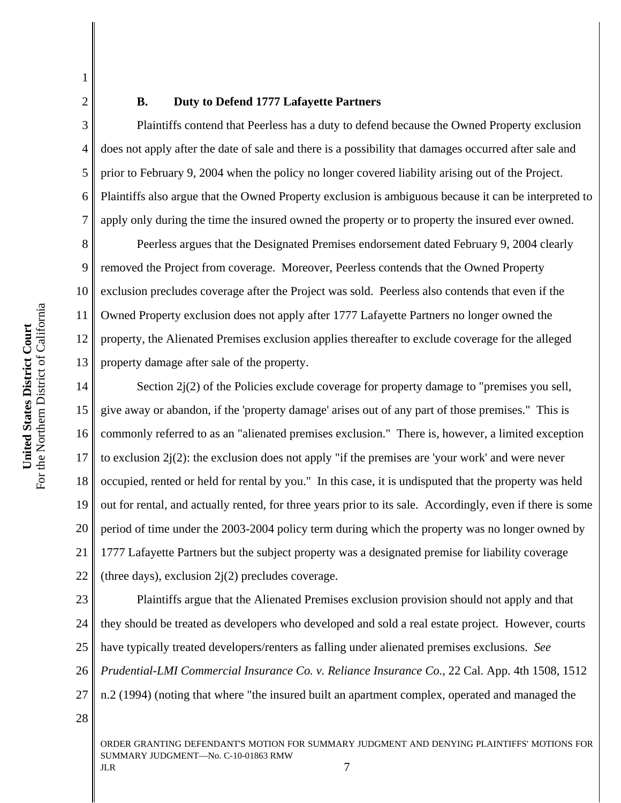2 3

4

5

6

7

1

#### **B. Duty to Defend 1777 Lafayette Partners**

Plaintiffs contend that Peerless has a duty to defend because the Owned Property exclusion does not apply after the date of sale and there is a possibility that damages occurred after sale and prior to February 9, 2004 when the policy no longer covered liability arising out of the Project. Plaintiffs also argue that the Owned Property exclusion is ambiguous because it can be interpreted to apply only during the time the insured owned the property or to property the insured ever owned.

8 9 10 11 12 13 Peerless argues that the Designated Premises endorsement dated February 9, 2004 clearly removed the Project from coverage. Moreover, Peerless contends that the Owned Property exclusion precludes coverage after the Project was sold. Peerless also contends that even if the Owned Property exclusion does not apply after 1777 Lafayette Partners no longer owned the property, the Alienated Premises exclusion applies thereafter to exclude coverage for the alleged property damage after sale of the property.

14 15 16 17 18 19 20 21 22 Section 2j(2) of the Policies exclude coverage for property damage to "premises you sell, give away or abandon, if the 'property damage' arises out of any part of those premises." This is commonly referred to as an "alienated premises exclusion." There is, however, a limited exception to exclusion  $2i(2)$ : the exclusion does not apply "if the premises are 'your work' and were never occupied, rented or held for rental by you." In this case, it is undisputed that the property was held out for rental, and actually rented, for three years prior to its sale. Accordingly, even if there is some period of time under the 2003-2004 policy term during which the property was no longer owned by 1777 Lafayette Partners but the subject property was a designated premise for liability coverage (three days), exclusion  $2i(2)$  precludes coverage.

23 24 25 26 27 Plaintiffs argue that the Alienated Premises exclusion provision should not apply and that they should be treated as developers who developed and sold a real estate project. However, courts have typically treated developers/renters as falling under alienated premises exclusions. *See Prudential-LMI Commercial Insurance Co. v. Reliance Insurance Co.*, 22 Cal. App. 4th 1508, 1512 n.2 (1994) (noting that where "the insured built an apartment complex, operated and managed the

28

ORDER GRANTING DEFENDANT'S MOTION FOR SUMMARY JUDGMENT AND DENYING PLAINTIFFS' MOTIONS FOR SUMMARY JUDGMENT—No. C-10-01863 RMW  $JLR$  7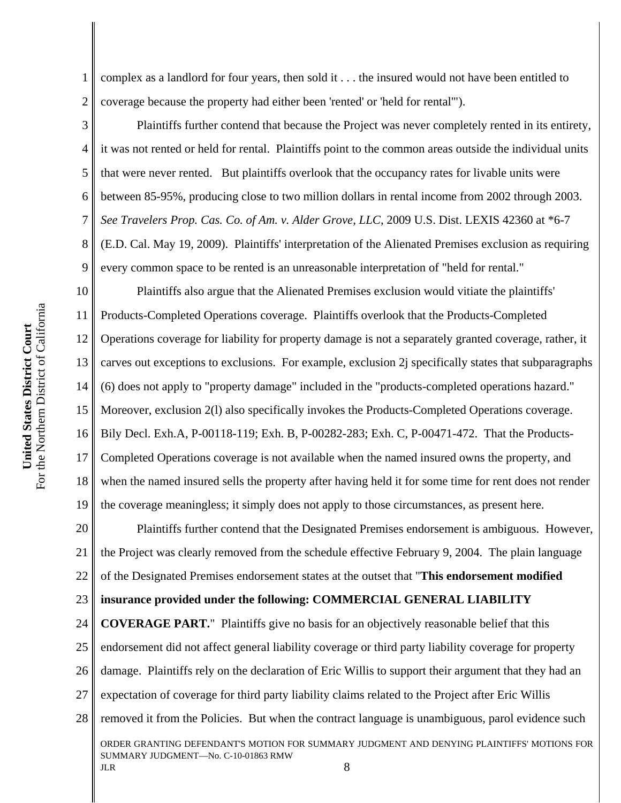1 2 complex as a landlord for four years, then sold it . . . the insured would not have been entitled to coverage because the property had either been 'rented' or 'held for rental'").

3 4 6 8 9 Plaintiffs further contend that because the Project was never completely rented in its entirety, it was not rented or held for rental. Plaintiffs point to the common areas outside the individual units that were never rented. But plaintiffs overlook that the occupancy rates for livable units were between 85-95%, producing close to two million dollars in rental income from 2002 through 2003. *See Travelers Prop. Cas. Co. of Am. v. Alder Grove, LLC*, 2009 U.S. Dist. LEXIS 42360 at \*6-7 (E.D. Cal. May 19, 2009). Plaintiffs' interpretation of the Alienated Premises exclusion as requiring every common space to be rented is an unreasonable interpretation of "held for rental."

10 11 12 13 14 15 16 17 18 19 Plaintiffs also argue that the Alienated Premises exclusion would vitiate the plaintiffs' Products-Completed Operations coverage. Plaintiffs overlook that the Products-Completed Operations coverage for liability for property damage is not a separately granted coverage, rather, it carves out exceptions to exclusions. For example, exclusion 2j specifically states that subparagraphs (6) does not apply to "property damage" included in the "products-completed operations hazard." Moreover, exclusion 2(l) also specifically invokes the Products-Completed Operations coverage. Bily Decl. Exh.A, P-00118-119; Exh. B, P-00282-283; Exh. C, P-00471-472. That the Products-Completed Operations coverage is not available when the named insured owns the property, and when the named insured sells the property after having held it for some time for rent does not render the coverage meaningless; it simply does not apply to those circumstances, as present here.

20 21 22 Plaintiffs further contend that the Designated Premises endorsement is ambiguous. However, the Project was clearly removed from the schedule effective February 9, 2004. The plain language of the Designated Premises endorsement states at the outset that "**This endorsement modified**

23 **insurance provided under the following: COMMERCIAL GENERAL LIABILITY**

24 25 26 27 28 ORDER GRANTING DEFENDANT'S MOTION FOR SUMMARY JUDGMENT AND DENYING PLAINTIFFS' MOTIONS FOR SUMMARY JUDGMENT—No. C-10-01863 RMW  $JLR$  8 **COVERAGE PART.**" Plaintiffs give no basis for an objectively reasonable belief that this endorsement did not affect general liability coverage or third party liability coverage for property damage. Plaintiffs rely on the declaration of Eric Willis to support their argument that they had an expectation of coverage for third party liability claims related to the Project after Eric Willis removed it from the Policies. But when the contract language is unambiguous, parol evidence such

5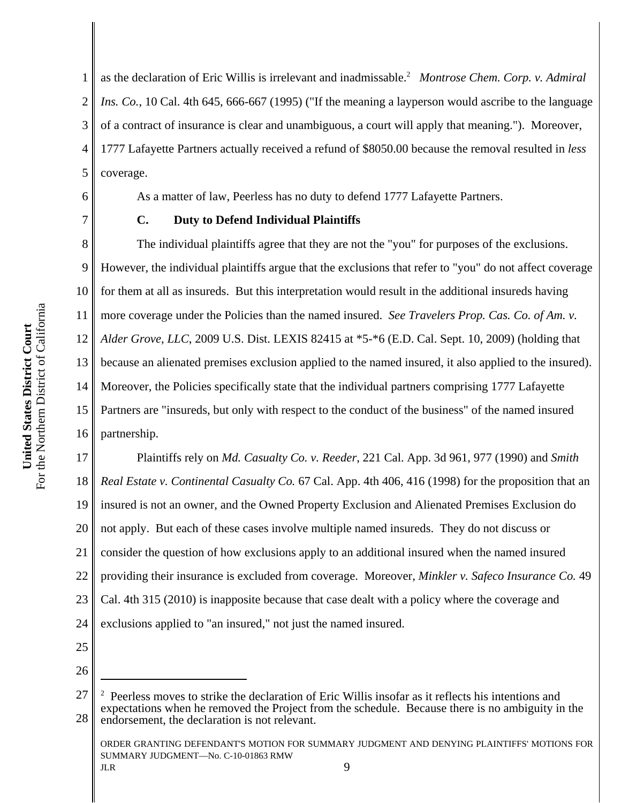3 4 5 6 7 8 9 10 of a contract of insurance is clear and unambiguous, a court will apply that meaning."). Moreover, 1777 Lafayette Partners actually received a refund of \$8050.00 because the removal resulted in *less* coverage. As a matter of law, Peerless has no duty to defend 1777 Lafayette Partners. **C. Duty to Defend Individual Plaintiffs** The individual plaintiffs agree that they are not the "you" for purposes of the exclusions. However, the individual plaintiffs argue that the exclusions that refer to "you" do not affect coverage

1

2

11 12 13 14 15 16 for them at all as insureds. But this interpretation would result in the additional insureds having more coverage under the Policies than the named insured. *See Travelers Prop. Cas. Co. of Am. v. Alder Grove, LLC*, 2009 U.S. Dist. LEXIS 82415 at \*5-\*6 (E.D. Cal. Sept. 10, 2009) (holding that because an alienated premises exclusion applied to the named insured, it also applied to the insured). Moreover, the Policies specifically state that the individual partners comprising 1777 Lafayette Partners are "insureds, but only with respect to the conduct of the business" of the named insured partnership.

as the declaration of Eric Willis is irrelevant and inadmissable.2 *Montrose Chem. Corp. v. Admiral*

*Ins. Co.*, 10 Cal. 4th 645, 666-667 (1995) ("If the meaning a layperson would ascribe to the language

17 18 19 20 21 22 23 24 Plaintiffs rely on *Md. Casualty Co. v. Reeder*, 221 Cal. App. 3d 961, 977 (1990) and *Smith Real Estate v. Continental Casualty Co.* 67 Cal. App. 4th 406, 416 (1998) for the proposition that an insured is not an owner, and the Owned Property Exclusion and Alienated Premises Exclusion do not apply. But each of these cases involve multiple named insureds. They do not discuss or consider the question of how exclusions apply to an additional insured when the named insured providing their insurance is excluded from coverage. Moreover, *Minkler v. Safeco Insurance Co.* 49 Cal. 4th 315 (2010) is inapposite because that case dealt with a policy where the coverage and exclusions applied to "an insured," not just the named insured.

25 26

#### ORDER GRANTING DEFENDANT'S MOTION FOR SUMMARY JUDGMENT AND DENYING PLAINTIFFS' MOTIONS FOR SUMMARY JUDGMENT—No. C-10-01863 RMW  $JLR$  9

<sup>&</sup>lt;sup>2</sup> Peerless moves to strike the declaration of Eric Willis insofar as it reflects his intentions and expectations when he removed the Project from the schedule. Because there is no ambiguity in the endorsement, the declaration is not relevant.